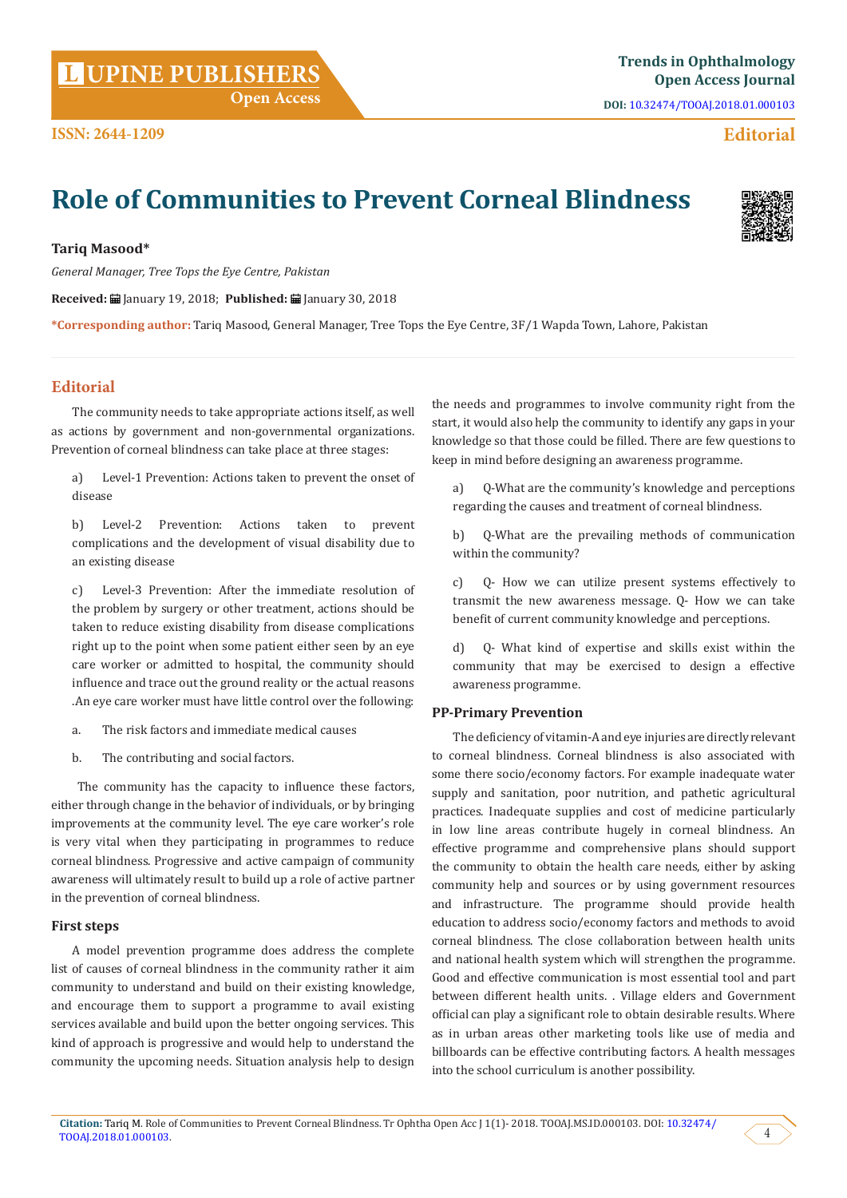**Citation:** Tariq M. Role of Communities to Prevent Corneal Blindness. Tr Ophtha Open Acc J 1(1)- 2018. TOOAJ.MS.ID.000103. DOI: [10.32474/](http://dx.doi.org/10.32474/TOOAJ.2018.01.000103)  $\frac{1}{2}$  TOOA].2018.01.000103.  $\left\{\begin{array}{c} 4 \end{array}\right\}$ 

# **Trends in Ophthalmology UPINE PUBLISHERS Open Access Journal L**

## **Editorial**

## **Role of Communities to Prevent Corneal Blindness**

## **Tariq Masood\***

**ISSN: 2644-1209**

*General Manager, Tree Tops the Eye Centre, Pakistan*

**Received:** January 19, 2018; **Published:** January 30, 2018

**\*Corresponding author:** Tariq Masood, General Manager, Tree Tops the Eye Centre, 3F/1 Wapda Town, Lahore, Pakistan

## **Editorial**

The community needs to take appropriate actions itself, as well as actions by government and non-governmental organizations. Prevention of corneal blindness can take place at three stages:

a) Level-1 Prevention: Actions taken to prevent the onset of disease

b) Level-2 Prevention: Actions taken to prevent complications and the development of visual disability due to an existing disease

c) Level-3 Prevention: After the immediate resolution of the problem by surgery or other treatment, actions should be taken to reduce existing disability from disease complications right up to the point when some patient either seen by an eye care worker or admitted to hospital, the community should influence and trace out the ground reality or the actual reasons .An eye care worker must have little control over the following:

- a. The risk factors and immediate medical causes
- b. The contributing and social factors.

 The community has the capacity to influence these factors, either through change in the behavior of individuals, or by bringing improvements at the community level. The eye care worker's role is very vital when they participating in programmes to reduce corneal blindness. Progressive and active campaign of community awareness will ultimately result to build up a role of active partner in the prevention of corneal blindness.

#### **First steps**

A model prevention programme does address the complete list of causes of corneal blindness in the community rather it aim community to understand and build on their existing knowledge, and encourage them to support a programme to avail existing services available and build upon the better ongoing services. This kind of approach is progressive and would help to understand the community the upcoming needs. Situation analysis help to design

the needs and programmes to involve community right from the start, it would also help the community to identify any gaps in your knowledge so that those could be filled. There are few questions to keep in mind before designing an awareness programme.

a) Q-What are the community's knowledge and perceptions regarding the causes and treatment of corneal blindness.

b) Q-What are the prevailing methods of communication within the community?

c) Q- How we can utilize present systems effectively to transmit the new awareness message. Q- How we can take benefit of current community knowledge and perceptions.

d) Q- What kind of expertise and skills exist within the community that may be exercised to design a effective awareness programme.

#### **PP-Primary Prevention**

The deficiency of vitamin-A and eye injuries are directly relevant to corneal blindness. Corneal blindness is also associated with some there socio/economy factors. For example inadequate water supply and sanitation, poor nutrition, and pathetic agricultural practices. Inadequate supplies and cost of medicine particularly in low line areas contribute hugely in corneal blindness. An effective programme and comprehensive plans should support the community to obtain the health care needs, either by asking community help and sources or by using government resources and infrastructure. The programme should provide health education to address socio/economy factors and methods to avoid corneal blindness. The close collaboration between health units and national health system which will strengthen the programme. Good and effective communication is most essential tool and part between different health units. . Village elders and Government official can play a significant role to obtain desirable results. Where as in urban areas other marketing tools like use of media and billboards can be effective contributing factors. A health messages into the school curriculum is another possibility.